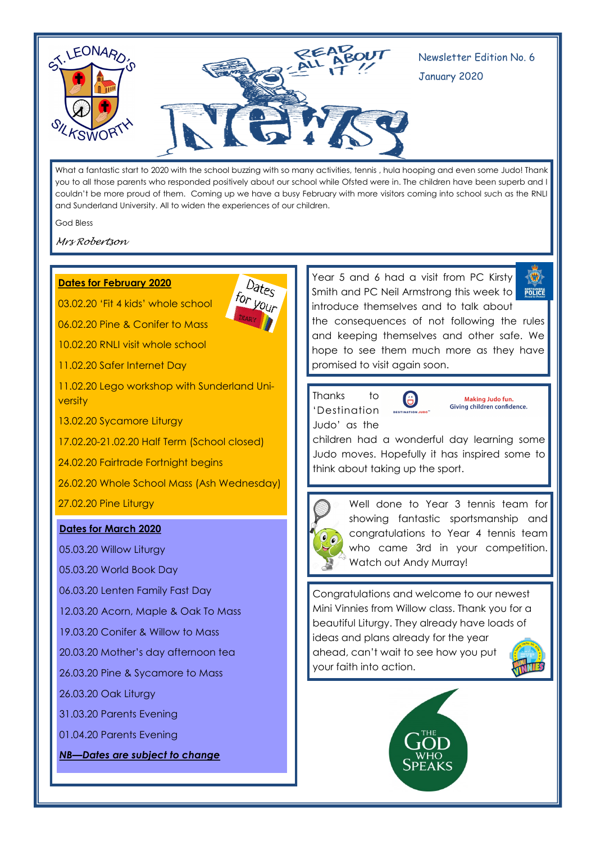

What a fantastic start to 2020 with the school buzzing with so many activities, tennis , hula hooping and even some Judo! Thank you to all those parents who responded positively about our school while Ofsted were in. The children have been superb and I couldn't be more proud of them. Coming up we have a busy February with more visitors coming into school such as the RNLI and Sunderland University. All to widen the experiences of our children.

God Bless

*Mrs Robertson*

### **Dates for February 2020**

03.02.20 'Fit 4 kids' whole school

06.02.20 Pine & Conifer to Mass

10.02.20 RNLI visit whole school

11.02.20 Safer Internet Day

11.02.20 Lego workshop with Sunderland University

13.02.20 Sycamore Liturgy

17.02.20-21.02.20 Half Term (School closed)

24.02.20 Fairtrade Fortnight begins

26.02.20 Whole School Mass (Ash Wednesday)

27.02.20 Pine Liturgy

#### **Dates for March 2020**

05.03.20 Willow Liturgy

05.03.20 World Book Day

06.03.20 Lenten Family Fast Day

12.03.20 Acorn, Maple & Oak To Mass

19.03.20 Conifer & Willow to Mass

20.03.20 Mother's day afternoon tea

26.03.20 Pine & Sycamore to Mass

26.03.20 Oak Liturgy

31.03.20 Parents Evening

01.04.20 Parents Evening

*NB—Dates are subject to change*

Dates



 $\bigoplus$ POLICE

the consequences of not following the rules and keeping themselves and other safe. We hope to see them much more as they have promised to visit again soon.

Thanks to 'Destination Judo' as the

 $\bigoplus$ 

Making Judo fun. Giving children confidence.

children had a wonderful day learning some Judo moves. Hopefully it has inspired some to think about taking up the sport.



Well done to Year 3 tennis team for showing fantastic sportsmanship and congratulations to Year 4 tennis team who came 3rd in your competition. Watch out Andy Murray!

Congratulations and welcome to our newest Mini Vinnies from Willow class. Thank you for a beautiful Liturgy. They already have loads of ideas and plans already for the year ahead, can't wait to see how you put your faith into action.